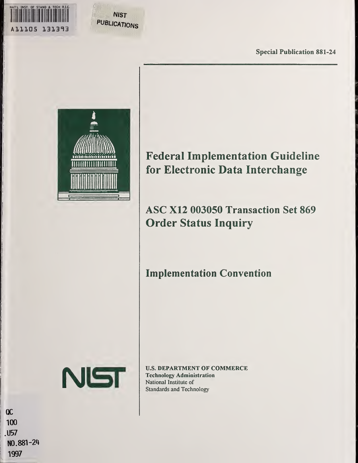



**Special Publication 881-24** 

| ١İ<br><b>A</b><br>ŀ<br><b>ation</b><br>d<br>mad<br>Í.<br>¢<br>D<br>O<br>٠ |  |
|---------------------------------------------------------------------------|--|
|                                                                           |  |
|                                                                           |  |
|                                                                           |  |
|                                                                           |  |
|                                                                           |  |
|                                                                           |  |

# **Federal Implementation Guideline** for Electronic Data Interchange

# ASC X12 003050 Transaction Set 869 **Order Status Inquiry**

# **Implementation Convention**



**U.S. DEPARTMENT OF COMMERCE Technology Administration** National Institute of **Standards and Technology** 

 $\alpha$ 100 .U57 NO.881-24 1997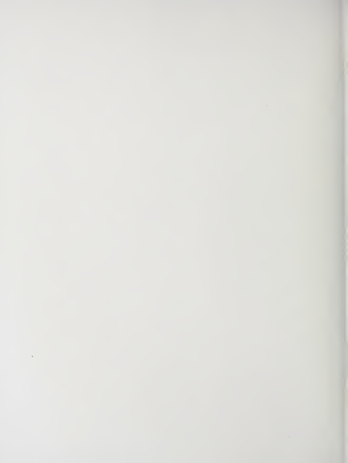$\sim$   $\sim$ 

 $\alpha$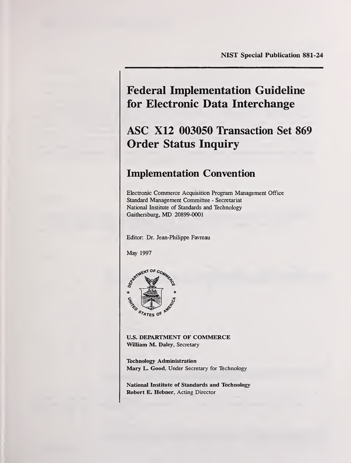# Federal Implementation Guideline for Electronic Data Interchange

# ASC X12 003050 Transaction Set 869 Order Status Inquiry

## Implementation Convention

Electronic Commerce Acquisition Program Management Office Standard Management Committee - Secretariat National Institute of Standards and Technology Gaithersburg, MD 20899-0001

Editor: Dr. Jean-Philippe Favreau

May 1997



U.S. DEPARTMENT OF COMMERCE William M. Daley, Secretary

Technology Administration Mary L. Good, Under Secretary for Technology

National Institute of Standards and Technology Robert E. Hebner, Acting Director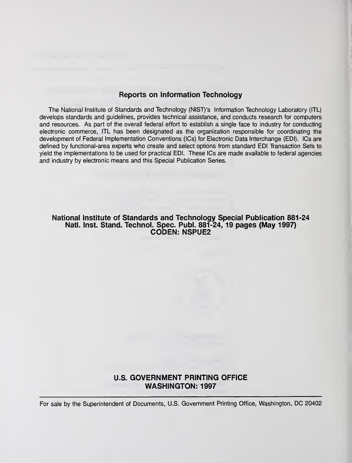#### Reports on Information Technology

The National Institute of Standards and Technology (NIST)'s Information Technology Laboratory (ITL) develops standards and guidelines, provides technical assistance, and conducts research for computers and resources. As part of the overall federal effort to establish a single face to industry for conducting electronic commerce, ITL has been designated as the organization responsible for coordinating the development of Federal Implementation Conventions (ICs) for Electronic Data Interchange (EDI). ICs are defined by functional-area experts who create and select options from standard EDI Transaction Sets to yield the implementations to be used for practical EDI. These ICs are made available to federal agencies and industry by electronic means and this Special Publication Series.

#### National Institute of Standards and Technology Special Publication 881-24 Natl. Inst. Stand. Technol. Spec. Publ. 881-24, 19 pages (May 1997) CODEN: NSPUE2

#### U.S. GOVERNMENT PRINTING OFFICE WASHINGTON: 1997

For sale by the Superintendent of Documents, U.S. Government Printing Office, Washington, DC 20402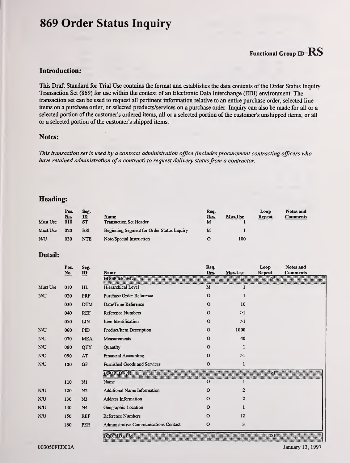## 869 Order Status Inquiry

## Functional Group ID=RS

#### Introduction:

This Draft Standard for Trial Use contains the format and establishes the data contents of the Order Status Inquiry Transaction Set (869) for use within the context of an Electronic Data Interchange (EDI) environment. The transaction set can be used to request all pertinent information relative to an entire purchase order, selected line items on a purchase order, or selected products/services on a purchase order. Inquiry can also be made for all or a selected portion of the customer's ordered items, all or a selected portion of the customer's unshipped items, or all or a selected portion of the customer's shipped items.

#### Notes:

This transaction set is used by a contract administration office (includes procurement contracting officers who have retained administration of a contract) to request delivery status from a contractor.

#### Heading:

| Must Use | Pos.<br><u>No.</u><br>010 | Seg.<br>$\mathbf{D}$<br><b>ST</b> | <b>Name</b><br><b>Transaction Set Header</b> | Req.<br><u>Des.</u><br>M | Max.Use | <b>Loop</b><br><b>Repeat</b> | Notes and<br><b>Comments</b> |
|----------|---------------------------|-----------------------------------|----------------------------------------------|--------------------------|---------|------------------------------|------------------------------|
| Must Use | 020                       | <b>BSI</b>                        | Beginning Segment for Order Status Inquiry   | M                        |         |                              |                              |
| NU       | 030                       | <b>NTE</b>                        | Note/Special Instruction                     |                          | 100     |                              |                              |

#### Detail:

|            | Pos.<br>No. | Seg.<br>$\underline{\mathbf{m}}$ | <b>Name</b>                                  | Req.<br>Des. | Max.Use                 | Loop<br>Repeat | Notes and<br><b>Comments</b> |
|------------|-------------|----------------------------------|----------------------------------------------|--------------|-------------------------|----------------|------------------------------|
|            |             |                                  | <b>ROOM</b>                                  |              |                         | ≫Þ             |                              |
| Must Use   | 010         | HL                               | Hierarchical Level                           | M            |                         |                |                              |
| <b>N/U</b> | 020         | PRF                              | Purchase Order Reference                     | $\mathbf O$  |                         |                |                              |
|            | 030         | <b>DTM</b>                       | Date/Time Reference                          | $\mathbf O$  | 10                      |                |                              |
|            | 040         | <b>REF</b>                       | <b>Reference Numbers</b>                     | $\mathbf O$  | >1                      |                |                              |
|            | 050         | LIN                              | Item Identification                          | $\mathbf O$  | >1                      |                |                              |
| N/U        | 060         | PID                              | Product/Item Description                     | $\mathbf O$  | 1000                    |                |                              |
| NU         | 070         | <b>MEA</b>                       | Measurements                                 | $\mathbf O$  | 40                      |                |                              |
| N/U        | 080         | <b>QTY</b>                       | Quantity                                     | $\mathbf{o}$ |                         |                |                              |
| N/U        | 090         | AT                               | <b>Financial Accounting</b>                  | $\mathbf O$  | >1                      |                |                              |
| N/U        | 100         | GF                               | <b>Furnished Goods and Services</b>          | $\mathbf{o}$ | 1                       |                |                              |
|            |             |                                  | 100110-81                                    |              |                         | 81             |                              |
|            | 110         | N1                               | Name                                         | $\mathbf{o}$ |                         |                |                              |
| N/U        | 120         | N2                               | Additional Name Information                  | $\mathbf O$  | $\mathbf{2}$            |                |                              |
| NU         | 130         | N3                               | <b>Address Information</b>                   | $\mathbf O$  | $\overline{2}$          |                |                              |
| N/U        | 140         | N <sub>4</sub>                   | Geographic Location                          | $\mathbf O$  | 1                       |                |                              |
| N/U        | 150         | <b>REF</b>                       | <b>Reference Numbers</b>                     | $\mathbf{O}$ | 12                      |                |                              |
|            | 160         | PER                              | <b>Administrative Communications Contact</b> | $\mathbf O$  | $\overline{\mathbf{3}}$ |                |                              |
|            |             |                                  | LOOPID-RM                                    |              |                         | N.             |                              |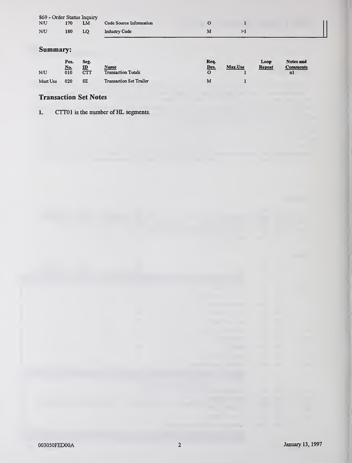|            | 869 - Order Status Inquiry |      |                         |   |  |
|------------|----------------------------|------|-------------------------|---|--|
| <b>N/U</b> | 170                        | LM   | Code Source Information |   |  |
| N/U        | 180                        | - LO | <b>Industry Code</b>    | м |  |

## Summary:

| N/U      | Pos.<br>No.<br>010 | Seg.<br>$\overline{\mathbf{D}}$<br><b>CTT</b> | Name<br><b>Transaction Totals</b> | Req.<br>Des. | Max.Use | Loop<br><b>Repeat</b> | <b>Notes and</b><br><b>Comments</b><br>nl |
|----------|--------------------|-----------------------------------------------|-----------------------------------|--------------|---------|-----------------------|-------------------------------------------|
| Must Use | 020                | <b>SE</b>                                     | <b>Transaction Set Trailer</b>    | M            |         |                       |                                           |

#### Transaction Set Notes

1. CTT01 is the number of HL segments.

 $\omega_{\rm{c}}$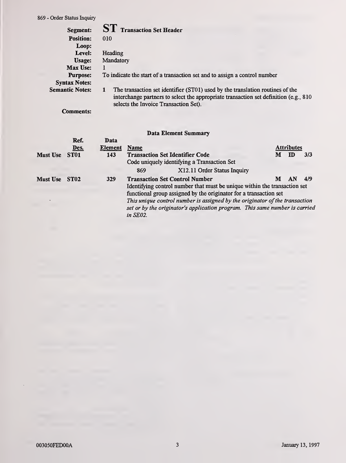| Segment:               | <b>ST</b> Transaction Set Header                                                                                                                                                                                                |
|------------------------|---------------------------------------------------------------------------------------------------------------------------------------------------------------------------------------------------------------------------------|
| <b>Position:</b>       | 010                                                                                                                                                                                                                             |
| Loop:                  |                                                                                                                                                                                                                                 |
| Level:                 | Heading                                                                                                                                                                                                                         |
| <b>Usage:</b>          | Mandatory                                                                                                                                                                                                                       |
| <b>Max Use:</b>        |                                                                                                                                                                                                                                 |
| <b>Purpose:</b>        | To indicate the start of a transaction set and to assign a control number                                                                                                                                                       |
| <b>Syntax Notes:</b>   |                                                                                                                                                                                                                                 |
| <b>Semantic Notes:</b> | The transaction set identifier (ST01) used by the translation routines of the<br>$\mathbf{1}$<br>interchange partners to select the appropriate transaction set definition (e.g., 810)<br>selects the Invoice Transaction Set). |

Comments:

#### Data Element Summary

|                                     | Ref.             | Data           |             |                                                                             |   |                   |     |
|-------------------------------------|------------------|----------------|-------------|-----------------------------------------------------------------------------|---|-------------------|-----|
|                                     | Des.             | <b>Element</b> | <b>Name</b> |                                                                             |   | <b>Attributes</b> |     |
| ST <sub>01</sub><br><b>Must Use</b> |                  | 143            |             | <b>Transaction Set Identifier Code</b>                                      | М | Ш                 | 3/3 |
|                                     |                  |                |             | Code uniquely identifying a Transaction Set                                 |   |                   |     |
|                                     |                  |                | 869         | X12.11 Order Status Inquiry                                                 |   |                   |     |
| <b>Must Use</b>                     | ST <sub>02</sub> | 329            |             | <b>Transaction Set Control Number</b>                                       | M | AN                | 4/9 |
|                                     |                  |                |             | Identifying control number that must be unique within the transaction set   |   |                   |     |
|                                     |                  |                |             | functional group assigned by the originator for a transaction set           |   |                   |     |
|                                     |                  |                |             | This unique control number is assigned by the originator of the transaction |   |                   |     |
|                                     |                  |                | in SE02.    | set or by the originator's application program. This same number is carried |   |                   |     |
|                                     |                  |                |             |                                                                             |   |                   |     |

k,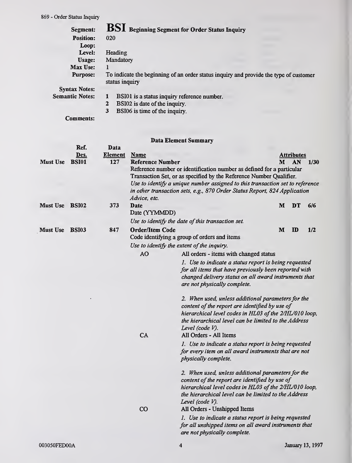869 - Order Status inquiry

| Segment:               | <b>BSI</b> Beginning Segment for Order Status Inquiry                                                   |
|------------------------|---------------------------------------------------------------------------------------------------------|
| <b>Position:</b>       | 020                                                                                                     |
| Loop:                  |                                                                                                         |
| Level:                 | Heading                                                                                                 |
| Usage:                 | Mandatory                                                                                               |
| <b>Max Use:</b>        |                                                                                                         |
| Purpose:               | To indicate the beginning of an order status inquiry and provide the type of customer<br>status inquiry |
| <b>Syntax Notes:</b>   |                                                                                                         |
| <b>Semantic Notes:</b> | BSI01 is a status inquiry reference number.                                                             |
|                        | BSI02 is date of the inquiry.                                                                           |
|                        | BSI06 is time of the inquiry.                                                                           |

Comments:

## Data Element Summary

|                 | Ref.         | Data           |                         |                                                                                                                                                                |   |                   |      |
|-----------------|--------------|----------------|-------------------------|----------------------------------------------------------------------------------------------------------------------------------------------------------------|---|-------------------|------|
|                 | Des.         | <b>Element</b> | <b>Name</b>             |                                                                                                                                                                |   | <b>Attributes</b> |      |
| <b>Must Use</b> | <b>BSI01</b> | 127            | <b>Reference Number</b> |                                                                                                                                                                |   | M AN              | 1/30 |
|                 |              |                |                         | Reference number or identification number as defined for a particular                                                                                          |   |                   |      |
|                 |              |                |                         | Transaction Set, or as specified by the Reference Number Qualifier.                                                                                            |   |                   |      |
|                 |              |                |                         | Use to identify a unique number assigned to this transaction set to reference                                                                                  |   |                   |      |
|                 |              |                |                         | in other transaction sets, e.g., 870 Order Status Report, 824 Application                                                                                      |   |                   |      |
|                 |              |                | Advice, etc.            |                                                                                                                                                                |   |                   |      |
| <b>Must Use</b> | <b>BSI02</b> | 373            | <b>Date</b>             |                                                                                                                                                                | M | DT                | 6/6  |
|                 |              |                | Date (YYMMDD)           |                                                                                                                                                                |   |                   |      |
|                 |              |                |                         | Use to identify the date of this transaction set.                                                                                                              |   |                   |      |
| <b>Must Use</b> | <b>BSI03</b> | 847            | <b>Order/Item Code</b>  |                                                                                                                                                                | M | $\mathbf{D}$      | 1/2  |
|                 |              |                |                         | Code identifying a group of orders and items                                                                                                                   |   |                   |      |
|                 |              |                |                         | Use to identify the extent of the inquiry.                                                                                                                     |   |                   |      |
|                 |              |                | AO                      | All orders - items with changed status                                                                                                                         |   |                   |      |
|                 |              |                |                         | 1. Use to indicate a status report is being requested                                                                                                          |   |                   |      |
|                 |              |                |                         | for all items that have previously been reported with                                                                                                          |   |                   |      |
|                 |              |                |                         | changed delivery status on all award instruments that                                                                                                          |   |                   |      |
|                 |              |                |                         | are not physically complete.                                                                                                                                   |   |                   |      |
|                 |              |                |                         | 2. When used, unless additional parameters for the<br>content of the report are identified by use of<br>hierarchical level codes in HL03 of the 2/HL/010 loop, |   |                   |      |
|                 |              |                |                         | the hierarchical level can be limited to the Address                                                                                                           |   |                   |      |
|                 |              |                |                         | Level $(code V)$ .                                                                                                                                             |   |                   |      |
|                 |              |                | CA                      | All Orders - All Items                                                                                                                                         |   |                   |      |
|                 |              |                |                         | 1. Use to indicate a status report is being requested                                                                                                          |   |                   |      |
|                 |              |                |                         | for every item on all award instruments that are not                                                                                                           |   |                   |      |
|                 |              |                |                         | physically complete.                                                                                                                                           |   |                   |      |
|                 |              |                |                         | 2. When used, unless additional parameters for the                                                                                                             |   |                   |      |
|                 |              |                |                         | content of the report are identified by use of<br>hierarchical level codes in HL03 of the 2/HL/010 loop,                                                       |   |                   |      |
|                 |              |                |                         | the hierarchical level can be limited to the Address                                                                                                           |   |                   |      |
|                 |              |                |                         | Level (code V).                                                                                                                                                |   |                   |      |
|                 |              |                | $\rm CO$                | All Orders - Unshipped Items                                                                                                                                   |   |                   |      |
|                 |              |                |                         | 1. Use to indicate a status report is being requested                                                                                                          |   |                   |      |
|                 |              |                |                         | for all unshipped items on all award instruments that                                                                                                          |   |                   |      |
|                 |              |                |                         | are not physically complete.                                                                                                                                   |   |                   |      |
|                 |              |                |                         |                                                                                                                                                                |   |                   |      |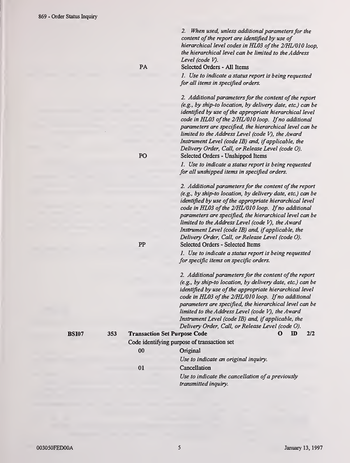2. When used, unless additional parameters for the content of the report are identified by use of hierarchical level codes in HL03 of the 2/HL/010 loop, the hierarchical level can be limited to the Address Level (code V).

PA Selected Orders - All Items

1. Use to indicate a status report is being requested for all items in specified orders.

2. Additional parameters for the content of the report (e.g., by ship-to location, by delivery date, etc.) can be identified by use of the appropriate hierarchical level code in HL03 of the 2/HL/010 loop. If no additional parameters are specified, the hierarchical level can be limited to the Address Level (code V), the Award Instrument Level (code  $IB$ ) and, if applicable, the Delivery Order, Call, or Release Level (code 0). PO Selected Orders - Unshipped Items

> 1. Use to indicate a status report is being requested for all unshipped items in specified orders.

2. Additional parameters for the content of the report (e.g., by ship-to location, by delivery date, etc.) can be identified by use of the appropriate hierarchical level code in HL03 of the  $2/HL/010$  loop. If no additional parameters are specified, the hierarchical level can be limited to the Address Level (code V), the Award Instrument Level (code  $IB$ ) and, if applicable, the Delivery Order, Call, or Release Level (code 0). PP Selected Orders - Selected Items

> 1. Use to indicate a status report is being requested for specific items on specific orders.

2. Additional parameters for the content of the report (e.g., by ship-to location, by delivery date, etc.) can be identified by use of the appropriate hierarchical level code in HL03 of the  $2/HL/010$  loop. If no additional parameters are specified, the hierarchical level can be limited to the Address Level (code V), the Award Instrument Level (code  $IB$ ) and, if applicable, the Delivery Order, Call, or Release Level (code 0).

| <b>BSI07</b> | 353 |    | <b>Transaction Set Purpose Code</b>                                      | Ш | 2/2 |  |
|--------------|-----|----|--------------------------------------------------------------------------|---|-----|--|
|              |     |    | Code identifying purpose of transaction set                              |   |     |  |
|              |     | 00 | Original                                                                 |   |     |  |
|              |     |    | Use to indicate an original inquiry.                                     |   |     |  |
|              |     | 01 | Cancellation                                                             |   |     |  |
|              |     |    | Use to indicate the cancellation of a previously<br>transmitted inquiry. |   |     |  |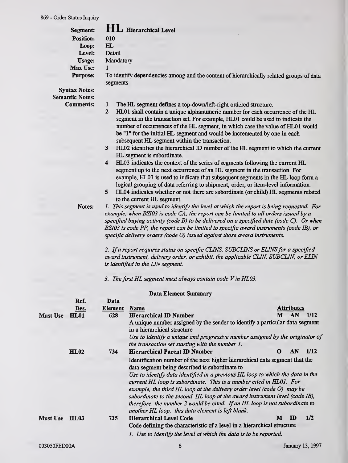| Segment:                | <b>HL</b> Hierarchical Level                                                                        |
|-------------------------|-----------------------------------------------------------------------------------------------------|
| <b>Position:</b>        | 010                                                                                                 |
| Loop:                   | H L                                                                                                 |
| Level:                  | Detail                                                                                              |
| <b>Usage:</b>           | Mandatory                                                                                           |
| <b>Max Use:</b>         |                                                                                                     |
| <b>Purpose:</b>         | To identify dependencies among and the content of hierarchically related groups of data<br>segments |
| ax Notes:<br>tic Notes: |                                                                                                     |

Synta: Semantic Comments:

- <sup>1</sup> The HL segment defines <sup>a</sup> top-down/left-right ordered structure.
- 2 HL01 shall contain a unique alphanumeric number for each occurrence of the HL segment in the transaction set. For example, HL01 could be used to indicate the number of occurrences of the HL segment, in which case the value of HL01 would be "1" for the initial HL segment and would be incremented by one in each subsequent HL segment within the transaction.
- <sup>3</sup> HL02 identifies the hierarchical ID number of the HL segment to which the current HL segment is subordinate.
- 4 HL03 indicates the context of the series of segments following the current HL segment up to the next occurrence of an HL segment in the transaction. For example, HL03 is used to indicate that subsequent segments in the HL loop form <sup>a</sup> logical grouping of data referring to shipment, order, or item-level information.
- 5 HL04 indicates whether or not there are subordinate (or child) HL segments related to the current HL segment.

Notes:

1. This segment is used to identify the level at which the report is being requested. For example, when BSI03 is code CA, the report can be limited to all orders issued by a specified buying activity (code B) to be delivered on a specified date (code C). Or when BSI03 is code PP, the report can be limited to specific award instruments (code IB), or specific delivery orders (code O) issued against those award instruments.

2. If a report requires status on specific CLINS, SUBCLINS or ELINS for a specified award instrument, delivery order, or exhibit, the applicable CLIN, SUBCUN, or ELIN is identified in the LIN segment.

3. The first HL segment must always contain code  $V$  in HL03.

|                 | Ref.   | Data           |                                                                                                                                                                                                                                                                                                                                                                                                                                                                                                                                                                                    |                   |      |             |  |  |
|-----------------|--------|----------------|------------------------------------------------------------------------------------------------------------------------------------------------------------------------------------------------------------------------------------------------------------------------------------------------------------------------------------------------------------------------------------------------------------------------------------------------------------------------------------------------------------------------------------------------------------------------------------|-------------------|------|-------------|--|--|
|                 | Des.   | <b>Element</b> | <b>Name</b>                                                                                                                                                                                                                                                                                                                                                                                                                                                                                                                                                                        | <b>Attributes</b> |      |             |  |  |
| <b>Must Use</b> | H L 01 | 628            | <b>Hierarchical ID Number</b>                                                                                                                                                                                                                                                                                                                                                                                                                                                                                                                                                      |                   | M AN | <b>1/12</b> |  |  |
|                 |        |                | A unique number assigned by the sender to identify a particular data segment<br>in a hierarchical structure                                                                                                                                                                                                                                                                                                                                                                                                                                                                        |                   |      |             |  |  |
|                 |        |                | Use to identify a unique and progressive number assigned by the originator of                                                                                                                                                                                                                                                                                                                                                                                                                                                                                                      |                   |      |             |  |  |
|                 |        |                | the transaction set starting with the number 1.                                                                                                                                                                                                                                                                                                                                                                                                                                                                                                                                    |                   |      |             |  |  |
|                 | H L 02 | 734            | <b>Hierarchical Parent ID Number</b>                                                                                                                                                                                                                                                                                                                                                                                                                                                                                                                                               | O                 | AN   | <b>1/12</b> |  |  |
|                 |        |                | Identification number of the next higher hierarchical data segment that the<br>data segment being described is subordinate to<br>Use to identify data identified in a previous HL loop to which the data in the<br>current HL loop is subordinate. This is a number cited in HL01. For<br>example, the third HL loop at the delivery order level (code O) may be<br>subordinate to the second HL loop at the award instrument level (code IB),<br>therefore, the number 2 would be cited. If an HL loop is not subordinate to<br>another HL loop, this data element is left blank. |                   |      |             |  |  |
| <b>Must Use</b> | HL03   | 735            | <b>Hierarchical Level Code</b><br>Code defining the characteristic of a level in a hierarchical structure<br>1. Use to identify the level at which the data is to be reported.                                                                                                                                                                                                                                                                                                                                                                                                     | M                 | ID   | 1/2         |  |  |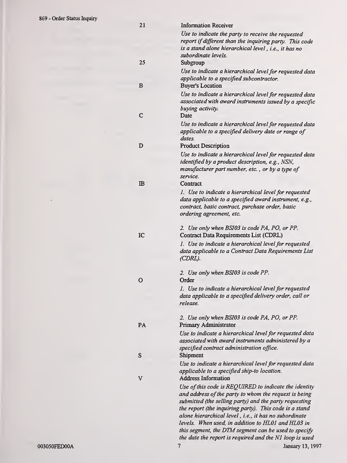25

B

C

D

IB

IC

O

PA

S

V

| <b>Information Receiver</b> |  |
|-----------------------------|--|
|-----------------------------|--|

Use to indicate the party to receive the requested report if different than the inquiring party. This code is a stand alone hierarchical level , i.e., it has no subordinate levels. Subgroup

Use to indicate a hierarchical level for requested data applicable to a specified subcontractor. Buyer's Location

Use to indicate a hierarchical level for requested data associated with award instruments issued by a specific buying activity.

#### Date

Use to indicate a hierarchical level for requested data applicable to a specified delivery date or range of dates.

#### Product Description

Use to indicate a hierarchical level for requested data identified by a product description, e.g., NSN, manufacturer part number, etc. , or by a type of service.

#### **Contract**

1. Use to indicate a hierarchical level for requested data applicable to a specified award instrument, e.g., contract, basic contract, purchase order, basic ordering agreement, etc.

#### 2. Use only when BSI03 is code PA, PO, or PP. Contract Data Requirements List (CDRL)

1. Use to indicate a hierarchical level for requested data applicable to a Contract Data Requirements List (CDPL).

2. Use only when BSI03 is code PP. **Order** 

1. Use to indicate a hierarchical level for requested data applicable to a specified delivery order, call or release.

#### 2. Use only when BSI03 is code PA, PO, or PP. Primary Administrator

Use to indicate a hierarchical level for requested data associated with award instruments administered by a specified contract administration office.

#### Shipment

Use to indicate a hierarchical level for requested data applicable to a specified ship-to location. Address Information

Use of this code is REQUIRED to indicate the identity and address of the party to whom the request is being submitted (the selling party) and the party requesting the report (the inquiring party). This code is a stand alone hierarchical level , i.e., it has no subordinate levels. When used, in addition to HL01 and HL03 in this segment, the DTM segment can be used to specify the date the report is required and the Nl loop is used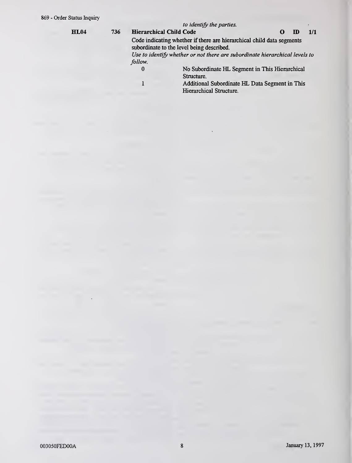to identify the parties.

|             |     |                                | to themily the purtico.                                                                                            |   |     |
|-------------|-----|--------------------------------|--------------------------------------------------------------------------------------------------------------------|---|-----|
| <b>HL04</b> | 736 | <b>Hierarchical Child Code</b> |                                                                                                                    | O | 1/1 |
|             |     |                                | Code indicating whether if there are hierarchical child data segments<br>subordinate to the level being described. |   |     |
|             |     |                                | Use to identify whether or not there are subordinate hierarchical levels to                                        |   |     |
|             |     | follow.                        |                                                                                                                    |   |     |
|             |     | $\bf{0}$                       | No Subordinate HL Segment in This Hierarchical                                                                     |   |     |
|             |     |                                | Structure.                                                                                                         |   |     |
|             |     |                                | Additional Subordinate HL Data Segment in This                                                                     |   |     |
|             |     |                                | <b>Hierarchical Structure.</b>                                                                                     |   |     |

 $\ddot{\phantom{0}}$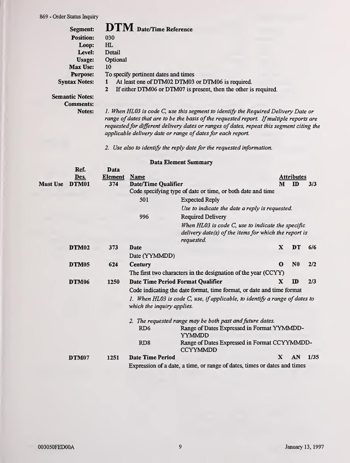|                 | 869 - Order Status Inquiry |                  |                                      |                                                                                                                                                                                                                                                                                                                               |             |                   |     |
|-----------------|----------------------------|------------------|--------------------------------------|-------------------------------------------------------------------------------------------------------------------------------------------------------------------------------------------------------------------------------------------------------------------------------------------------------------------------------|-------------|-------------------|-----|
|                 | Segment:                   |                  | <b>DTM</b> Date/Time Reference       |                                                                                                                                                                                                                                                                                                                               |             |                   |     |
|                 | <b>Position:</b>           | 030              |                                      |                                                                                                                                                                                                                                                                                                                               |             |                   |     |
|                 | Loop:                      | H <sub>L</sub>   |                                      |                                                                                                                                                                                                                                                                                                                               |             |                   |     |
|                 | Level:                     | Detail           |                                      |                                                                                                                                                                                                                                                                                                                               |             |                   |     |
|                 | <b>Usage:</b>              | Optional         |                                      |                                                                                                                                                                                                                                                                                                                               |             |                   |     |
|                 | Max Use:                   | 10               |                                      |                                                                                                                                                                                                                                                                                                                               |             |                   |     |
|                 | Purpose:                   |                  | To specify pertinent dates and times |                                                                                                                                                                                                                                                                                                                               |             |                   |     |
|                 | <b>Syntax Notes:</b>       | 1                |                                      | At least one of DTM02 DTM03 or DTM06 is required.                                                                                                                                                                                                                                                                             |             |                   |     |
|                 |                            | $\boldsymbol{2}$ |                                      | If either DTM06 or DTM07 is present, then the other is required.                                                                                                                                                                                                                                                              |             |                   |     |
|                 | <b>Semantic Notes:</b>     |                  |                                      |                                                                                                                                                                                                                                                                                                                               |             |                   |     |
|                 | <b>Comments:</b><br>Notes: |                  |                                      | 1. When HL03 is code C, use this segment to identify the Required Delivery Date or                                                                                                                                                                                                                                            |             |                   |     |
|                 |                            |                  |                                      | range of dates that are to be the basis of the requested report. If multiple reports are<br>requested for different delivery dates or ranges of dates, repeat this segment citing the<br>applicable delivery date or range of dates for each report.<br>2. Use also to identify the reply date for the requested information. |             |                   |     |
|                 |                            |                  |                                      | <b>Data Element Summary</b>                                                                                                                                                                                                                                                                                                   |             |                   |     |
|                 | Ref.                       | Data             |                                      |                                                                                                                                                                                                                                                                                                                               |             |                   |     |
|                 | Des.                       | <b>Element</b>   | Name                                 |                                                                                                                                                                                                                                                                                                                               |             | <b>Attributes</b> |     |
| <b>Must Use</b> | DTM01                      | 374              | <b>Date/Time Qualifier</b>           | Code specifying type of date or time, or both date and time                                                                                                                                                                                                                                                                   | M           | $\mathbf D$       | 3/3 |
|                 |                            |                  | 501                                  | <b>Expected Reply</b>                                                                                                                                                                                                                                                                                                         |             |                   |     |
|                 |                            |                  |                                      | Use to indicate the date a reply is requested.                                                                                                                                                                                                                                                                                |             |                   |     |
|                 |                            |                  | 996                                  | <b>Required Delivery</b>                                                                                                                                                                                                                                                                                                      |             |                   |     |
|                 |                            |                  |                                      | When HL03 is code C, use to indicate the specific<br>delivery date(s) of the items for which the report is<br>requested.                                                                                                                                                                                                      |             |                   |     |
|                 | DTM02                      | 373              | <b>Date</b>                          |                                                                                                                                                                                                                                                                                                                               | X           | DT                | 6/6 |
|                 |                            |                  | Date (YYMMDD)                        |                                                                                                                                                                                                                                                                                                                               |             |                   |     |
|                 | DTM05                      | 624              | <b>Century</b>                       |                                                                                                                                                                                                                                                                                                                               | $\mathbf 0$ | N <sub>0</sub>    | 2/2 |
|                 |                            |                  |                                      | The first two characters in the designation of the year (CCYY)                                                                                                                                                                                                                                                                |             |                   |     |
|                 | DTM06                      | 1250             |                                      | Date Time Period Format Qualifier                                                                                                                                                                                                                                                                                             | X           | $\mathbf{D}$      | 2/3 |
|                 |                            |                  |                                      | Code indicating the date format, time format, or date and time format                                                                                                                                                                                                                                                         |             |                   |     |
|                 |                            |                  |                                      | 1. When HL03 is code C, use, if applicable, to identify a range of dates to                                                                                                                                                                                                                                                   |             |                   |     |
|                 |                            |                  | which the inquiry applies.           |                                                                                                                                                                                                                                                                                                                               |             |                   |     |
|                 |                            |                  |                                      | 2. The requested range may be both past and future dates.                                                                                                                                                                                                                                                                     |             |                   |     |

|                  |      |                         | 2. The requested range may be both past and juttie addes.                 |               |  |
|------------------|------|-------------------------|---------------------------------------------------------------------------|---------------|--|
|                  |      | RD <sub>6</sub>         | Range of Dates Expressed in Format YYMMDD-<br><b>YYMMDD</b>               |               |  |
|                  |      | RD <sub>8</sub>         | Range of Dates Expressed in Format CCYYMMDD-<br><b>CCYYMMDD</b>           |               |  |
| $\mathbf{DTM}07$ | 1251 | <b>Date Time Period</b> |                                                                           | $X$ AN $1/35$ |  |
|                  |      |                         | Expression of a date, a time, or range of dates, times or dates and times |               |  |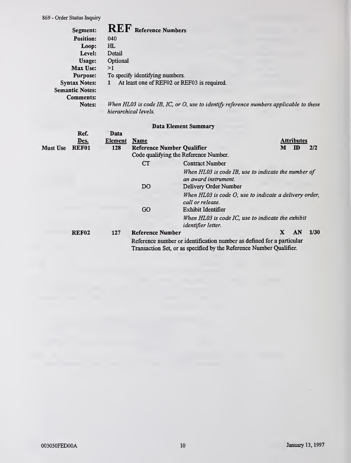| Segment:               | <b>REF</b> Reference Numbers                            |
|------------------------|---------------------------------------------------------|
| <b>Position:</b>       | 040                                                     |
| Loop:                  | H <sub>L</sub>                                          |
| Level:                 | Detail                                                  |
| Usage:                 | Optional                                                |
| <b>Max Use:</b>        | >1                                                      |
| <b>Purpose:</b>        | To specify identifying numbers.                         |
| <b>Syntax Notes:</b>   | At least one of REF02 or REF03 is required.             |
| <b>Semantic Notes:</b> |                                                         |
| <b>Comments:</b>       |                                                         |
| <b>Notes:</b>          | When $HL03$ is code IB, IC, or O, use to identify refer |

 $\epsilon$ ence numbers applicable to these hierarchical levels.

|                 |                       |                               |                                                                                           | <b>Data Element Summary</b>                                                                                                                  |   |                         |      |  |
|-----------------|-----------------------|-------------------------------|-------------------------------------------------------------------------------------------|----------------------------------------------------------------------------------------------------------------------------------------------|---|-------------------------|------|--|
| <b>Must Use</b> | Ref.<br>Des.<br>REF01 | Data<br>Element<br><b>128</b> | <b>Name</b><br><b>Reference Number Qualifier</b><br>Code qualifying the Reference Number. |                                                                                                                                              | М | <b>Attributes</b><br>ID | 2/2  |  |
|                 |                       |                               | <b>CT</b>                                                                                 | <b>Contract Number</b><br>When HL03 is code IB, use to indicate the number of<br>an award instrument.                                        |   |                         |      |  |
|                 |                       |                               | D <sub>O</sub>                                                                            | Delivery Order Number<br>When HL03 is code O, use to indicate a delivery order,<br>call or release.                                          |   |                         |      |  |
|                 |                       |                               | GO                                                                                        | <b>Exhibit Identifier</b><br>When HL03 is code IC, use to indicate the exhibit<br>identifier letter.                                         |   |                         |      |  |
|                 | <b>REF02</b>          | <b>127</b>                    | <b>Reference Number</b>                                                                   | Reference number or identification number as defined for a particular<br>Transaction Set, or as specified by the Reference Number Qualifier. | X | AN                      | 1/30 |  |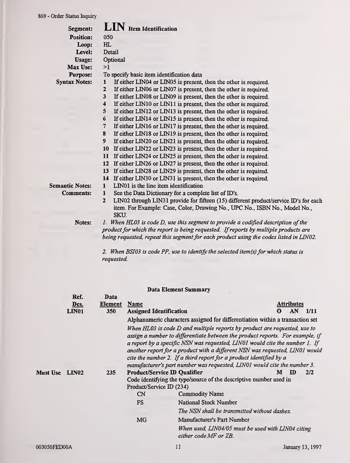| Segment:               | <b>LIN</b> Item Identification                                                                                                                                                               |
|------------------------|----------------------------------------------------------------------------------------------------------------------------------------------------------------------------------------------|
| <b>Position:</b>       | 050                                                                                                                                                                                          |
| Loop:                  | H <sub>L</sub>                                                                                                                                                                               |
| Level:                 | Detail                                                                                                                                                                                       |
| <b>Usage:</b>          | Optional                                                                                                                                                                                     |
| Max Use:               | >1                                                                                                                                                                                           |
| Purpose:               | To specify basic item identification data                                                                                                                                                    |
| <b>Syntax Notes:</b>   | If either LIN04 or LIN05 is present, then the other is required.<br>$\mathbf{1}$                                                                                                             |
|                        | If either LIN06 or LIN07 is present, then the other is required.<br>$\boldsymbol{2}$                                                                                                         |
|                        | $\mathbf{3}$<br>If either LIN08 or LIN09 is present, then the other is required.                                                                                                             |
|                        | If either LIN10 or LIN11 is present, then the other is required.<br>4                                                                                                                        |
|                        | 5<br>If either LIN12 or LIN13 is present, then the other is required.                                                                                                                        |
|                        | 6<br>If either LIN14 or LIN15 is present, then the other is required.                                                                                                                        |
|                        | $\overline{7}$<br>If either LIN16 or LIN17 is present, then the other is required.                                                                                                           |
|                        | $\boldsymbol{8}$<br>If either LIN18 or LIN19 is present, then the other is required.                                                                                                         |
|                        | 9<br>If either LIN20 or LIN21 is present, then the other is required.                                                                                                                        |
|                        | If either LIN22 or LIN23 is present, then the other is required.<br>10                                                                                                                       |
|                        | If either LIN24 or LIN25 is present, then the other is required.<br>11                                                                                                                       |
|                        | If either LIN26 or LIN27 is present, then the other is required.<br>12                                                                                                                       |
|                        | If either LIN28 or LIN29 is present, then the other is required.<br>13                                                                                                                       |
|                        | If either LIN30 or LIN31 is present, then the other is required.<br>14                                                                                                                       |
| <b>Semantic Notes:</b> | LIN01 is the line item identification<br>$\mathbf{1}$                                                                                                                                        |
| <b>Comments:</b>       | See the Data Dictionary for a complete list of ID's.<br>$\mathbf{1}$                                                                                                                         |
|                        | LIN02 through LIN31 provide for fifteen (15) different product/service ID's for each<br>$\overline{2}$<br>item. For Example: Case, Color, Drawing No., UPC No., ISBN No., Model No.,<br>SKU. |
| Notes:                 | 1. When HL03 is code D, use this segment to provide a codified description of the<br>product for which the report is being requested. If reports by multiple products are                    |
|                        | being requested, repeat this segment for each product using the codes listed in LIN02.                                                                                                       |

2. When BSJ03 is code PP, use to identify the selected item(s) for which status is requested.

#### Data Element Summary

|                | Ref. | Data           |                                |                                                                                                                                                                                                                                                                                                                                                                                                                                                                             |   |                   |      |
|----------------|------|----------------|--------------------------------|-----------------------------------------------------------------------------------------------------------------------------------------------------------------------------------------------------------------------------------------------------------------------------------------------------------------------------------------------------------------------------------------------------------------------------------------------------------------------------|---|-------------------|------|
|                | Des. | <b>Element</b> | <b>Name</b>                    |                                                                                                                                                                                                                                                                                                                                                                                                                                                                             |   | <b>Attributes</b> |      |
| <b>LIN01</b>   |      | 350            | <b>Assigned Identification</b> |                                                                                                                                                                                                                                                                                                                                                                                                                                                                             | O | AN                | 1/11 |
|                |      |                |                                | Alphanumeric characters assigned for differentiation within a transaction set                                                                                                                                                                                                                                                                                                                                                                                               |   |                   |      |
|                |      |                |                                | When HL03 is code D and multiple reports by product are requested, use to<br>assign a number to differentiate between the product reports. For example, if<br>a report by a specific NSN was requested, LIN01 would cite the number 1. If<br>another report for a product with a different NSN was requested, LIN01 would<br>cite the number 2. If a third report for a product identified by a<br>manufacturer's part number was requested, LIN01 would cite the number 3. |   |                   |      |
| Must Use LIN02 |      | 235            |                                | <b>Product/Service ID Qualifier</b>                                                                                                                                                                                                                                                                                                                                                                                                                                         | М | ID                | 2/2  |
|                |      |                |                                | Code identifying the type/source of the descriptive number used in                                                                                                                                                                                                                                                                                                                                                                                                          |   |                   |      |
|                |      |                | Product/Service ID (234)       |                                                                                                                                                                                                                                                                                                                                                                                                                                                                             |   |                   |      |
|                |      |                | <b>CN</b>                      | <b>Commodity Name</b>                                                                                                                                                                                                                                                                                                                                                                                                                                                       |   |                   |      |
|                |      |                | <b>FS</b>                      | <b>National Stock Number</b>                                                                                                                                                                                                                                                                                                                                                                                                                                                |   |                   |      |
|                |      |                |                                | The NSN shall be transmitted without dashes.                                                                                                                                                                                                                                                                                                                                                                                                                                |   |                   |      |
|                |      |                | MG                             | <b>Manufacturer's Part Number</b>                                                                                                                                                                                                                                                                                                                                                                                                                                           |   |                   |      |
|                |      |                |                                | When used, LIN04/05 must be used with LIN04 citing<br>either code MF or ZB.                                                                                                                                                                                                                                                                                                                                                                                                 |   |                   |      |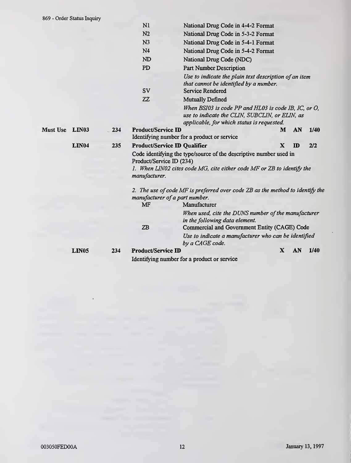869 - Order Status Inquiry

|                 |              |     | N1                                  | National Drug Code in 4-4-2 Format                                                                                                                   |             |              |        |
|-----------------|--------------|-----|-------------------------------------|------------------------------------------------------------------------------------------------------------------------------------------------------|-------------|--------------|--------|
|                 |              |     | N <sub>2</sub>                      | National Drug Code in 5-3-2 Format                                                                                                                   |             |              |        |
|                 |              |     | N <sub>3</sub>                      | National Drug Code in 5-4-1 Format                                                                                                                   |             |              |        |
|                 |              |     | N <sub>4</sub>                      | National Drug Code in 5-4-2 Format                                                                                                                   |             |              |        |
|                 |              |     | <b>ND</b>                           | National Drug Code (NDC)                                                                                                                             |             |              |        |
|                 |              |     | PD                                  | <b>Part Number Description</b>                                                                                                                       |             |              |        |
|                 |              |     |                                     | Use to indicate the plain text description of an item<br>that cannot be identified by a number.                                                      |             |              |        |
|                 |              |     | SV                                  | <b>Service Rendered</b>                                                                                                                              |             |              |        |
|                 |              |     | ZZ                                  | <b>Mutually Defined</b>                                                                                                                              |             |              |        |
|                 |              |     |                                     | When BSI03 is code PP and HL03 is code IB, IC, or O,<br>use to indicate the CLIN, SUBCLIN, or ELIN, as<br>applicable, for which status is requested. |             |              |        |
| <b>Must Use</b> | LM03         | 234 | <b>Product/Service ID</b>           | Identifying number for a product or service                                                                                                          | M           | AN           | $1/40$ |
|                 | LIN04        | 235 | <b>Product/Service ID Qualifier</b> |                                                                                                                                                      | X           | $\mathbf{D}$ | 2/2    |
|                 |              |     |                                     | Code identifying the type/source of the descriptive number used in                                                                                   |             |              |        |
|                 |              |     | Product/Service ID (234)            |                                                                                                                                                      |             |              |        |
|                 |              |     |                                     | 1. When $LINO2$ cites code $MG$ , cite either code $MF$ or ZB to identify the                                                                        |             |              |        |
|                 |              |     | manufacturer.                       |                                                                                                                                                      |             |              |        |
|                 |              |     |                                     | 2. The use of code MF is preferred over code ZB as the method to identify the                                                                        |             |              |        |
|                 |              |     | manufacturer of a part number.      |                                                                                                                                                      |             |              |        |
|                 |              |     | MF                                  | Manufacturer                                                                                                                                         |             |              |        |
|                 |              |     |                                     | When used, cite the DUNS number of the manufacturer<br>in the following data element.                                                                |             |              |        |
|                 |              |     | ZB                                  | <b>Commercial and Government Entity (CAGE) Code</b>                                                                                                  |             |              |        |
|                 |              |     |                                     | Use to indicate a manufacturer who can be identified<br>by a CAGE code.                                                                              |             |              |        |
|                 | <b>LIN05</b> | 234 | <b>Product/Service ID</b>           |                                                                                                                                                      | $\mathbf X$ | AN           | 1/40   |
|                 |              |     |                                     | Identifying number for a product or service                                                                                                          |             |              |        |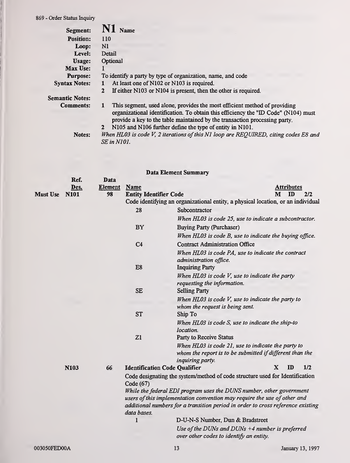869 - Order Status Inquiry

| Segment:               | <b>Name</b>                                                                        |
|------------------------|------------------------------------------------------------------------------------|
| <b>Position:</b>       | 110                                                                                |
| Loop:                  | N1                                                                                 |
| Level:                 | Detail                                                                             |
| <b>Usage:</b>          | Optional                                                                           |
| Max Use:               |                                                                                    |
| <b>Purpose:</b>        | To identify a party by type of organization, name, and code                        |
| <b>Syntax Notes:</b>   | At least one of N102 or N103 is required.                                          |
|                        | If either N103 or N104 is present, then the other is required.<br>$\mathbf{2}$     |
| <b>Semantic Notes:</b> |                                                                                    |
| <b>Comments:</b>       | This segment, used alone, provides the most efficient method of providing<br>1     |
|                        | organizational identification. To obtain this efficiency the "ID Code" (N104) must |
|                        | provide a key to the table maintained by the transaction processing party.         |
|                        | N105 and N106 further define the type of entity in N101.<br>$\mathbf{2}$           |

Notes:

When HL03 is code V, 2 iterations of this N1 loop are REQUIRED, citing codes E8 and SE in N101.

|                 |              |                        |                                      | <b>Data Element Summary</b>                                                      |   |                   |     |  |
|-----------------|--------------|------------------------|--------------------------------------|----------------------------------------------------------------------------------|---|-------------------|-----|--|
|                 | Ref.<br>Des. | Data<br><b>Element</b> | <b>Name</b>                          |                                                                                  |   | <b>Attributes</b> |     |  |
| <b>Must Use</b> | <b>N101</b>  | 98                     | <b>Entity Identifier Code</b>        |                                                                                  | M | ID                | 2/2 |  |
|                 |              |                        |                                      | Code identifying an organizational entity, a physical location, or an individual |   |                   |     |  |
|                 |              |                        | 28                                   | Subcontractor                                                                    |   |                   |     |  |
|                 |              |                        |                                      | When HL03 is code 25, use to indicate a subcontractor.                           |   |                   |     |  |
|                 |              |                        | <b>BY</b>                            | <b>Buying Party (Purchaser)</b>                                                  |   |                   |     |  |
|                 |              |                        |                                      | When HL03 is code B, use to indicate the buying office.                          |   |                   |     |  |
|                 |              |                        | C <sub>4</sub>                       | <b>Contract Administration Office</b>                                            |   |                   |     |  |
|                 |              |                        |                                      | When HL03 is code PA, use to indicate the contract                               |   |                   |     |  |
|                 |              |                        |                                      | administration office.                                                           |   |                   |     |  |
|                 |              |                        | E8                                   | <b>Inquiring Party</b>                                                           |   |                   |     |  |
|                 |              |                        |                                      | When $HL03$ is code $V$ , use to indicate the party                              |   |                   |     |  |
|                 |              |                        |                                      | requesting the information.                                                      |   |                   |     |  |
|                 |              |                        | <b>SE</b>                            | <b>Selling Party</b>                                                             |   |                   |     |  |
|                 |              |                        |                                      | When $HL03$ is code $V$ , use to indicate the party to                           |   |                   |     |  |
|                 |              |                        |                                      | whom the request is being sent.                                                  |   |                   |     |  |
|                 |              |                        | <b>ST</b>                            | Ship To                                                                          |   |                   |     |  |
|                 |              |                        |                                      | When HL03 is code S, use to indicate the ship-to                                 |   |                   |     |  |
|                 |              |                        |                                      | location.                                                                        |   |                   |     |  |
|                 |              |                        | Z1                                   | Party to Receive Status                                                          |   |                   |     |  |
|                 |              |                        |                                      | When HL03 is code 21, use to indicate the party to                               |   |                   |     |  |
|                 |              |                        |                                      | whom the report is to be submitted if different than the<br>inquiring party.     |   |                   |     |  |
|                 | <b>N103</b>  | 66                     | <b>Identification Code Qualifier</b> |                                                                                  | X | $\mathbf{D}$      | 1/2 |  |
|                 |              |                        |                                      | Code designating the system/method of code structure used for Identification     |   |                   |     |  |
|                 |              |                        | Code (67)                            |                                                                                  |   |                   |     |  |
|                 |              |                        |                                      | While the federal EDI program uses the DUNS number, other government             |   |                   |     |  |
|                 |              |                        |                                      | users of this implementation convention may require the use of other and         |   |                   |     |  |
|                 |              |                        |                                      | additional numbers for a transition period in order to cross reference existing  |   |                   |     |  |
|                 |              |                        | data bases.                          |                                                                                  |   |                   |     |  |
|                 |              |                        | $\mathbf{l}$                         | D-U-N-S Number, Dun & Bradstreet                                                 |   |                   |     |  |
|                 |              |                        |                                      | Use of the DUNs and DUNs $+4$ number is preferred                                |   |                   |     |  |
|                 |              |                        |                                      | over other codes to identify an entity.                                          |   |                   |     |  |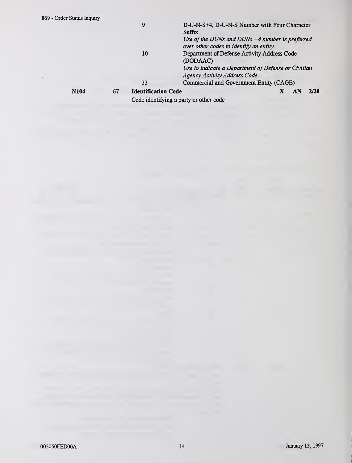$\overline{\phantom{a}}$ 

|                  |    | 9                          | D-U-N-S+4, D-U-N-S Number with Four Character<br>Suffix<br>Use of the DUNs and DUNs $+4$ number is preferred<br>over other codes to identify an entity. |    |      |
|------------------|----|----------------------------|---------------------------------------------------------------------------------------------------------------------------------------------------------|----|------|
|                  |    | 10                         | Department of Defense Activity Address Code<br>(DODAAC)<br>Use to indicate a Department of Defense or Civilian<br>Agency Activity Address Code.         |    |      |
|                  |    | 33                         | Commercial and Government Entity (CAGE)                                                                                                                 |    |      |
| N <sub>104</sub> | 67 | <b>Identification Code</b> | Code identifying a party or other code                                                                                                                  | AN | 2/20 |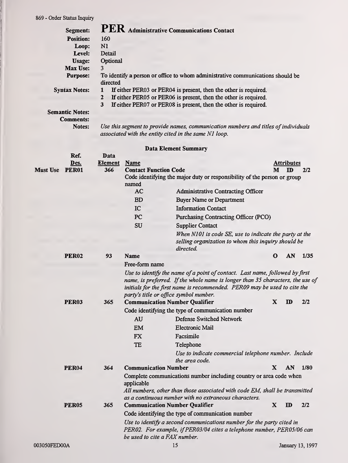| Segment:               | PER Administrative Communications Contact                                                  |
|------------------------|--------------------------------------------------------------------------------------------|
| <b>Position:</b>       | 160                                                                                        |
| Loop:                  | N1                                                                                         |
| Level:                 | Detail                                                                                     |
| <b>Usage:</b>          | Optional                                                                                   |
| <b>Max Use:</b>        | 3                                                                                          |
| <b>Purpose:</b>        | To identify a person or office to whom administrative communications should be<br>directed |
| <b>Syntax Notes:</b>   | If either PER03 or PER04 is present, then the other is required.<br>1                      |
|                        | If either PER05 or PER06 is present, then the other is required.<br>$\overline{2}$         |
|                        | If either PER07 or PER08 is present, then the other is required.<br>$\mathbf{3}$           |
| <b>Semantic Notes:</b> |                                                                                            |
|                        |                                                                                            |

Comments: Notes:

Use this segment to provide names, communication numbers and titles of individuals associated with the entity cited in the same Nl loop.

#### Data Element Summary

|                 | Ref.                | Data           |                                                                                                                                                                                                                          |                                                                                                                                                                                                                                                                                                                                        |              |                   |             |
|-----------------|---------------------|----------------|--------------------------------------------------------------------------------------------------------------------------------------------------------------------------------------------------------------------------|----------------------------------------------------------------------------------------------------------------------------------------------------------------------------------------------------------------------------------------------------------------------------------------------------------------------------------------|--------------|-------------------|-------------|
|                 | Des.                | <b>Element</b> | <b>Name</b>                                                                                                                                                                                                              |                                                                                                                                                                                                                                                                                                                                        |              | <b>Attributes</b> |             |
| <b>Must Use</b> | <b>PER01</b>        | 366            | <b>Contact Function Code</b>                                                                                                                                                                                             |                                                                                                                                                                                                                                                                                                                                        | M            | $\mathbf{D}$      | 2/2         |
|                 |                     |                |                                                                                                                                                                                                                          | Code identifying the major duty or responsibility of the person or group                                                                                                                                                                                                                                                               |              |                   |             |
|                 |                     |                | named                                                                                                                                                                                                                    |                                                                                                                                                                                                                                                                                                                                        |              |                   |             |
|                 |                     |                | <b>AC</b>                                                                                                                                                                                                                | <b>Administrative Contracting Officer</b>                                                                                                                                                                                                                                                                                              |              |                   |             |
|                 |                     |                | <b>BD</b>                                                                                                                                                                                                                | <b>Buyer Name or Department</b>                                                                                                                                                                                                                                                                                                        |              |                   |             |
|                 |                     |                | IC                                                                                                                                                                                                                       | <b>Information Contact</b>                                                                                                                                                                                                                                                                                                             |              |                   |             |
|                 |                     |                | PC                                                                                                                                                                                                                       | <b>Purchasing Contracting Officer (PCO)</b>                                                                                                                                                                                                                                                                                            |              |                   |             |
|                 |                     |                | <b>SU</b>                                                                                                                                                                                                                | <b>Supplier Contact</b>                                                                                                                                                                                                                                                                                                                |              |                   |             |
|                 |                     |                |                                                                                                                                                                                                                          | When N101 is code SE, use to indicate the party at the<br>selling organization to whom this inquiry should be<br>directed.                                                                                                                                                                                                             |              |                   |             |
|                 | <b>PER02</b>        | 93             | <b>Name</b>                                                                                                                                                                                                              |                                                                                                                                                                                                                                                                                                                                        | $\mathbf 0$  | AN                | 1/35        |
|                 |                     |                | Free-form name                                                                                                                                                                                                           |                                                                                                                                                                                                                                                                                                                                        |              |                   |             |
|                 | 365<br><b>PER03</b> |                | <b>AU</b>                                                                                                                                                                                                                | name, is preferred. If the whole name is longer than 35 characters, the use of<br>initials for the first name is recommended. PER09 may be used to cite the<br>party's title or office symbol number.<br><b>Communication Number Qualifier</b><br>Code identifying the type of communication number<br><b>Defense Switched Network</b> | $\mathbf{X}$ | $\mathbf{D}$      | 2/2         |
|                 |                     |                | <b>EM</b>                                                                                                                                                                                                                | <b>Electronic Mail</b>                                                                                                                                                                                                                                                                                                                 |              |                   |             |
|                 |                     |                | <b>FX</b>                                                                                                                                                                                                                | Facsimile                                                                                                                                                                                                                                                                                                                              |              |                   |             |
|                 |                     |                | TE                                                                                                                                                                                                                       | Telephone                                                                                                                                                                                                                                                                                                                              |              |                   |             |
|                 |                     |                |                                                                                                                                                                                                                          | Use to indicate commercial telephone number. Include<br>the area code.                                                                                                                                                                                                                                                                 |              |                   |             |
|                 | <b>PER04</b>        | 364            | <b>Communication Number</b>                                                                                                                                                                                              |                                                                                                                                                                                                                                                                                                                                        | X            | <b>AN</b>         | <b>1/80</b> |
|                 |                     |                | Complete communications number including country or area code when<br>applicable<br>All numbers, other than those associated with code EM, shall be transmitted<br>as a continuous number with no extraneous characters. |                                                                                                                                                                                                                                                                                                                                        |              |                   |             |
|                 | <b>PER05</b><br>365 |                |                                                                                                                                                                                                                          | <b>Communication Number Qualifier</b>                                                                                                                                                                                                                                                                                                  | X            | ID                | 2/2         |
|                 |                     |                |                                                                                                                                                                                                                          | Code identifying the type of communication number                                                                                                                                                                                                                                                                                      |              |                   |             |
|                 |                     |                |                                                                                                                                                                                                                          | Use to identify a second communications number for the party cited in<br>PER02. For example, if PER03/04 cites a telephone number, PER05/06 can<br>be used to cite a FAX number.                                                                                                                                                       |              |                   |             |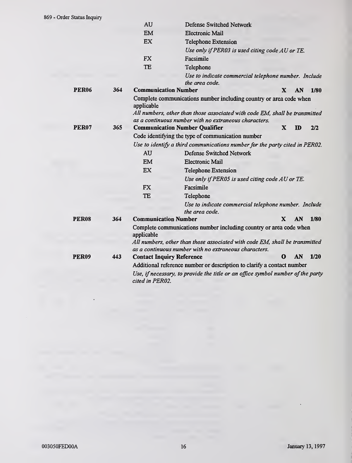|              |     | AU                               | <b>Defense Switched Network</b>                                                                                                                                                                            |              |              |             |
|--------------|-----|----------------------------------|------------------------------------------------------------------------------------------------------------------------------------------------------------------------------------------------------------|--------------|--------------|-------------|
|              |     | <b>EM</b>                        | <b>Electronic Mail</b>                                                                                                                                                                                     |              |              |             |
|              |     | EX                               | <b>Telephone Extension</b>                                                                                                                                                                                 |              |              |             |
|              |     |                                  | Use only if PER03 is used citing code AU or TE.                                                                                                                                                            |              |              |             |
|              |     | <b>FX</b>                        | Facsimile                                                                                                                                                                                                  |              |              |             |
|              |     | <b>TE</b>                        | Telephone                                                                                                                                                                                                  |              |              |             |
|              |     |                                  | Use to indicate commercial telephone number. Include<br>the area code.                                                                                                                                     |              |              |             |
| <b>PER06</b> | 364 | <b>Communication Number</b>      |                                                                                                                                                                                                            | $\mathbf{x}$ | AN           | <b>1/80</b> |
|              |     | applicable                       | Complete communications number including country or area code when<br>All numbers, other than those associated with code EM, shall be transmitted                                                          |              |              |             |
| <b>PER07</b> | 365 |                                  | as a continuous number with no extraneous characters.<br><b>Communication Number Qualifier</b>                                                                                                             | $\mathbf x$  | $\mathbf{D}$ | 2/2         |
|              |     |                                  | Code identifying the type of communication number                                                                                                                                                          |              |              |             |
|              |     |                                  |                                                                                                                                                                                                            |              |              |             |
|              |     | <b>AU</b>                        | Use to identify a third communications number for the party cited in PER02.<br><b>Defense Switched Network</b>                                                                                             |              |              |             |
|              |     |                                  |                                                                                                                                                                                                            |              |              |             |
|              |     | EM                               | <b>Electronic Mail</b>                                                                                                                                                                                     |              |              |             |
|              |     | EX                               | <b>Telephone Extension</b>                                                                                                                                                                                 |              |              |             |
|              |     |                                  | Use only if PER05 is used citing code AU or TE.                                                                                                                                                            |              |              |             |
|              |     | <b>FX</b>                        | Facsimile                                                                                                                                                                                                  |              |              |             |
|              |     | <b>TE</b>                        | Telephone                                                                                                                                                                                                  |              |              |             |
|              |     |                                  | Use to indicate commercial telephone number. Include<br>the area code.                                                                                                                                     |              |              |             |
| <b>PER08</b> | 364 | <b>Communication Number</b>      |                                                                                                                                                                                                            | X            | AN           | 1/80        |
|              |     | applicable                       | Complete communications number including country or area code when<br>All numbers, other than those associated with code EM, shall be transmitted<br>as a continuous number with no extraneous characters. |              |              |             |
| <b>PER09</b> | 443 | <b>Contact Inquiry Reference</b> |                                                                                                                                                                                                            | O            | AN           | 1/20        |
|              |     |                                  | Additional reference number or description to clarify a contact number                                                                                                                                     |              |              |             |
|              |     | cited in PER02.                  | Use, if necessary, to provide the title or an office symbol number of the party                                                                                                                            |              |              |             |

 $\ddot{\phantom{a}}$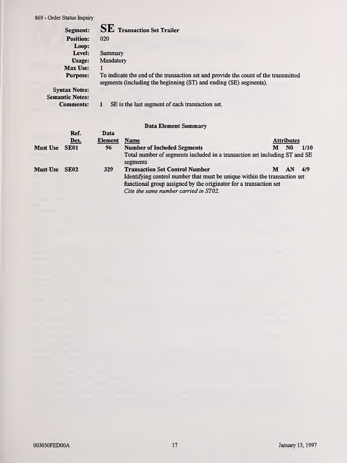| Segment:                                       | <b>SE</b> Transaction Set Trailer                                                                                                                        |
|------------------------------------------------|----------------------------------------------------------------------------------------------------------------------------------------------------------|
| <b>Position:</b>                               | 020                                                                                                                                                      |
| Loop:                                          |                                                                                                                                                          |
| Level:                                         | Summary                                                                                                                                                  |
| <b>Usage:</b>                                  | Mandatory                                                                                                                                                |
| <b>Max Use:</b>                                |                                                                                                                                                          |
| <b>Purpose:</b>                                | To indicate the end of the transaction set and provide the count of the transmitted<br>segments (including the beginning (ST) and ending (SE) segments). |
| <b>Syntax Notes:</b><br><b>Semantic Notes:</b> |                                                                                                                                                          |
| <b>Comments:</b>                               | SE is the last segment of each transaction set.                                                                                                          |

#### Data Element Summary

|                 | Ref.             | <b>Data</b>    |                                                                                                                                                                                                                                  |                   |                |             |  |
|-----------------|------------------|----------------|----------------------------------------------------------------------------------------------------------------------------------------------------------------------------------------------------------------------------------|-------------------|----------------|-------------|--|
|                 | Des.             | <b>Element</b> | <b>Name</b>                                                                                                                                                                                                                      | <b>Attributes</b> |                |             |  |
| <b>Must Use</b> | SE <sub>01</sub> | 96             | <b>Number of Included Segments</b>                                                                                                                                                                                               | M                 | N <sub>0</sub> | <b>1/10</b> |  |
|                 |                  |                | Total number of segments included in a transaction set including ST and SE<br>segments                                                                                                                                           |                   |                |             |  |
| <b>Must Use</b> | SE <sub>02</sub> | 329            | <b>Transaction Set Control Number</b><br>Identifying control number that must be unique within the transaction set<br>functional group assigned by the originator for a transaction set<br>Cite the same number carried in ST02. | $\mathbf{M}$      | AN.            | 4/9         |  |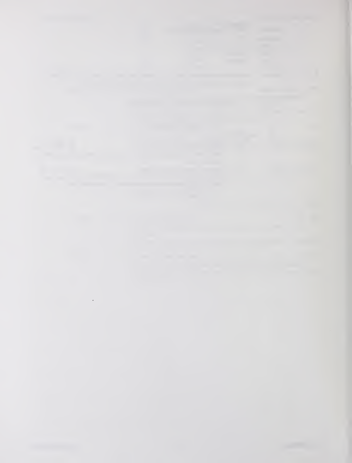$\star$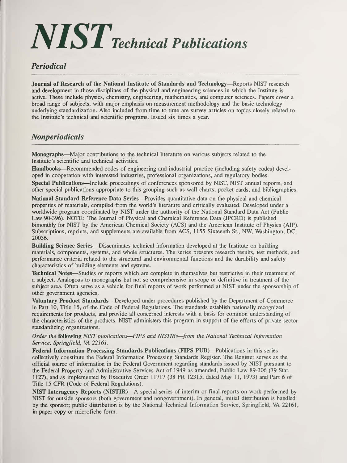# NIST Technical Publications

## Periodical

Journal of Research of the National Institute of Standards and Technology—Reports NIST research and development in those disciplines of the physical and engineering sciences in which the Institute is active. These include physics, chemistry, engineering, mathematics, and computer sciences. Papers cover a broad range of subjects, with major emphasis on measurement methodology and the basic technology underlying standardization. Also included from time to time are survey articles on topics closely related to the Institute's technical and scientific programs. Issued six times a year.

## Nonperiodicals

Monographs—Major contributions to the technical literature on various subjects related to the Institute's scientific and technical activities.

Handbooks—Recommended codes of engineering and industrial practice (including safety codes) developed in cooperation with interested industries, professional organizations, and regulatory bodies.

Special Publications—Include proceedings of conferences sponsored by NIST, NIST annual reports, and other special publications appropriate to this grouping such as wall charts, pocket cards, and bibliographies.

National Standard Reference Data Series—Provides quantitative data on the physical and chemical properties of materials, compiled from the world's literature and critically evaluated. Developed under a worldwide program coordinated by NIST under the authority of the National Standard Data Act (Public Law 90-396). NOTE: The Journal of Physical and Chemical Reference Data (JPCRD) is published bimonthly for NIST by the American Chemical Society (ACS) and the American Institute of Physics (AIP). Subscriptions, reprints, and supplements are available from ACS, <sup>1155</sup> Sixteenth St., NW, Washington, DC 20056.

Building Science Series—Disseminates technical information developed at the Institute on building materials, components, systems, and whole structures. The series presents research results, test methods, and performance criteria related to the structural and environmental functions and the durability and safety characteristics of building elements and systems.

Technical Notes—Studies or reports which are complete in themselves but restrictive in their treatment of a subject. Analogous to monographs but not so comprehensive in scope or definitive in treatment of the subject area. Often serve as a vehicle for final reports of work performed at NIST under the sponsorship of other government agencies.

Voluntary Product Standards—Developed under procedures published by the Department of Commerce in Part 10, Title 15, of the Code of Federal Regulations. The standards establish nationally recognized requirements for products, and provide all concerned interests with a basis for common understanding of the characteristics of the products. NIST administers this program in support of the efforts of private-sector standardizing organizations.

#### Order the following NIST publications—FIPS and NISTIRs—from the National Technical Information Service, Springfield, VA 22161.

Federal Information Processing Standards Publications (FIPS PUB)—Publications in this series collectively constitute the Federal Information Processing Standards Register. The Register serves as the official source of information in the Federal Government regarding standards issued by NIST pursuant to the Federal Property and Administrative Services Act of 1949 as amended, Public Law 89-306 (79 Stat. <sup>1</sup> 127), and as implemented by Executive Order <sup>1</sup> 1717 (38 FR 12315, dated May 11, 1973) and Part 6 of Title <sup>15</sup> CFR (Code of Federal Regulations).

NIST Interagency Reports (NISTIR)—<sup>A</sup> special series of interim or final reports on work performed by NIST for outside sponsors (both government and nongovernment). In general, initial distribution is handled by the sponsor; public distribution is by the National Technical Information Service, Springfield, VA 22161, in paper copy or microfiche form.